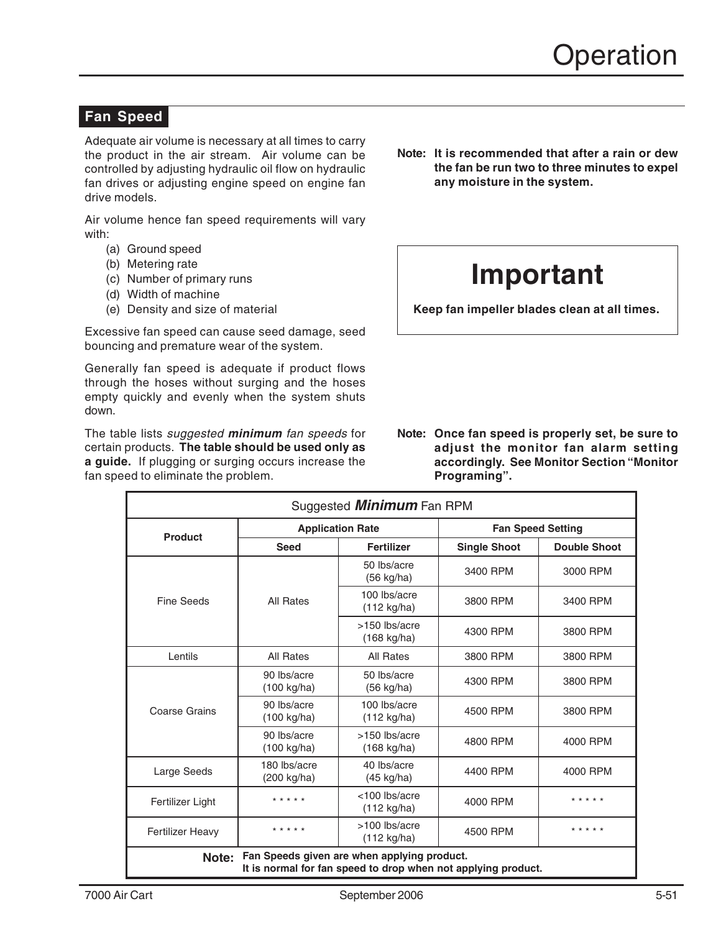## **Fan Speed**

Adequate air volume is necessary at all times to carry the product in the air stream. Air volume can be controlled by adjusting hydraulic oil flow on hydraulic fan drives or adjusting engine speed on engine fan drive models.

Air volume hence fan speed requirements will vary with:

- (a) Ground speed
- (b) Metering rate
- (c) Number of primary runs
- (d) Width of machine
- (e) Density and size of material

Excessive fan speed can cause seed damage, seed bouncing and premature wear of the system.

Generally fan speed is adequate if product flows through the hoses without surging and the hoses empty quickly and evenly when the system shuts down.

The table lists suggested **minimum** fan speeds for certain products. **The table should be used only as a guide.** If plugging or surging occurs increase the fan speed to eliminate the problem.

**Note: It is recommended that after a rain or dew the fan be run two to three minutes to expel any moisture in the system.**

# **Important**

**Keep fan impeller blades clean at all times.**

**Note: Once fan speed is properly set, be sure to adjust the monitor fan alarm setting accordingly. See Monitor Section "Monitor Programing".**

| Suggested <b>Minimum</b> Fan RPM                                                                                      |                                      |                                        |                          |                     |  |  |  |
|-----------------------------------------------------------------------------------------------------------------------|--------------------------------------|----------------------------------------|--------------------------|---------------------|--|--|--|
| <b>Product</b>                                                                                                        | <b>Application Rate</b>              |                                        | <b>Fan Speed Setting</b> |                     |  |  |  |
|                                                                                                                       | <b>Seed</b>                          | <b>Fertilizer</b>                      | <b>Single Shoot</b>      | <b>Double Shoot</b> |  |  |  |
| <b>Fine Seeds</b>                                                                                                     | All Rates                            | 50 lbs/acre<br>$(56 \text{ kg/ha})$    | 3400 RPM                 | 3000 RPM            |  |  |  |
|                                                                                                                       |                                      | 100 lbs/acre<br>$(112 \text{ kg/ha})$  | 3800 RPM                 | 3400 RPM            |  |  |  |
|                                                                                                                       |                                      | >150 lbs/acre<br>(168 kg/ha)           | 4300 RPM                 | 3800 RPM            |  |  |  |
| Lentils                                                                                                               | <b>All Rates</b>                     | <b>All Rates</b>                       | 3800 RPM                 | 3800 RPM            |  |  |  |
| Coarse Grains                                                                                                         | 90 lbs/acre<br>$(100 \text{ kg/ha})$ | 50 lbs/acre<br>$(56 \text{ kg/ha})$    | 4300 RPM                 | 3800 RPM            |  |  |  |
|                                                                                                                       | 90 lbs/acre<br>(100 kg/ha)           | 100 lbs/acre<br>(112 kg/ha)            | 4500 RPM                 | 3800 RPM            |  |  |  |
|                                                                                                                       | 90 lbs/acre<br>(100 kg/ha)           | >150 lbs/acre<br>(168 kg/ha)           | 4800 RPM                 | 4000 RPM            |  |  |  |
| Large Seeds                                                                                                           | 180 lbs/acre<br>(200 kg/ha)          | 40 lbs/acre<br>$(45 \text{ kg/ha})$    | 4400 RPM                 | 4000 RPM            |  |  |  |
| Fertilizer Light                                                                                                      | * * * * *                            | <100 lbs/acre<br>$(112 \text{ kg/ha})$ | 4000 RPM                 | * * * * *           |  |  |  |
| <b>Fertilizer Heavy</b>                                                                                               | * * * * *                            | >100 lbs/acre<br>$(112 \text{ kg/ha})$ | 4500 RPM                 | * * * * *           |  |  |  |
| Fan Speeds given are when applying product.<br>Note:<br>It is normal for fan speed to drop when not applying product. |                                      |                                        |                          |                     |  |  |  |